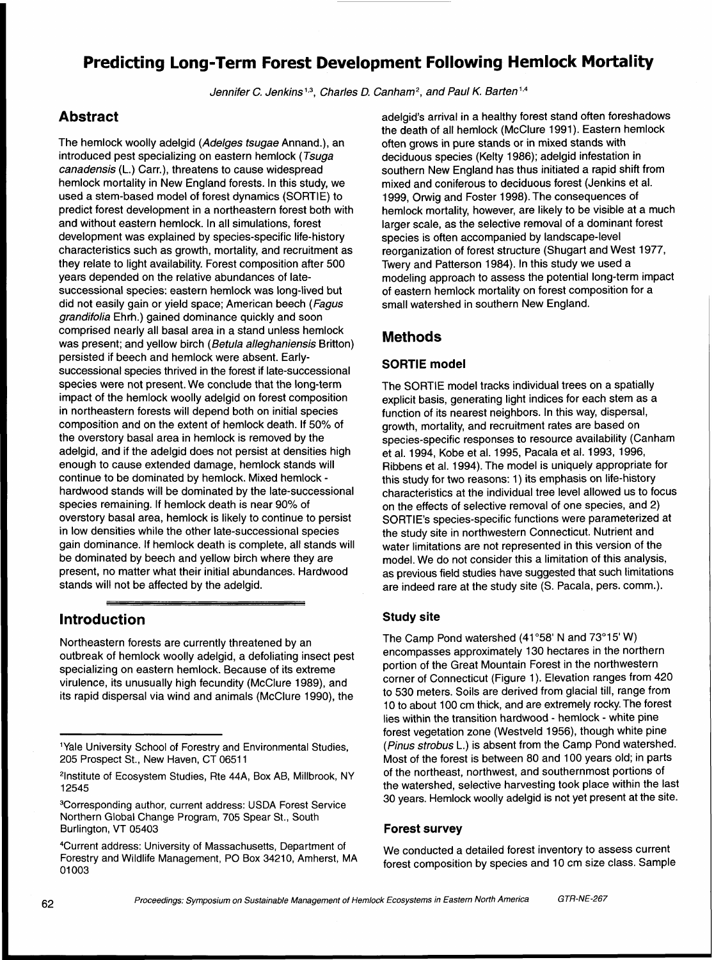# **Predicting Long-Term Forest Development Following Hemlock Mortality**

Jennifer C. Jenkins<sup>1,3</sup>, Charles D. Canham<sup>2</sup>, and Paul K. Barten<sup>1,4</sup>

## **Abstract**

The hemlock woolly adelgid (Adelges tsugae Annand.), an introduced pest specializing on eastern hemlock (Tsuga canadensis (L.) Carr.), threatens to cause widespread hemlock mortality in New England forests. In this study, we used a stem-based model of forest dynamics (SORTIE) to predict forest development in a northeastern forest both with and without eastern hemlock. In all simulations, forest development was explained by species-specific life-history characteristics such as growth, mortality, and recruitment as they relate to light availability. Forest composition after 500 years depended on the relative abundances of latesuccessional species: eastern hemlock was long-lived but did not easily gain or yield space; American beech (Fagus grandifolia Ehrh.) gained dominance quickly and soon comprised nearly all basal area in a stand unless hemlock was present; and yellow birch (Betula alleghaniensis Britton) persisted if beech and hemlock were absent. Earlysuccessional species thrived in the forest if late-successional species were not present. We conclude that the long-term impact of the hemlock woolly adelgid on forest composition in northeastern forests will depend both on initial species composition and on the extent of hemlock death. If 50% of the overstory basal area in hemlock is removed by the adelgid, and if the adelgid does not persist at densities high enough to cause extended damage, hemlock stands will continue to be dominated by hemlock. Mixed hemlock - hardwood stands will be dominated by the late-successional species remaining. If hemlock death is near 90% of overstory basal area, hemlock is likely to continue to persist in low densities while the other late-successional species gain dominance. If hemlock death is complete, all stands will be dominated by beech and yellow birch where they are present, no matter what their initial abundances. Hardwood stands will not be affected by the adelgid.

## **Introduction study site study site study site**

Northeastern forests are currently threatened by an outbreak of hemlock woolly adelgid, a defoliating insect pest specializing on eastern hemlock. Because of its extreme virulence, its unusually high fecundity (McClure 1989), and its rapid dispersal via wind and animals (McClure 1990), the

adelgid's arrival in a healthy forest stand often foreshadows the death of all hemlock (McClure 1991). Eastern hemlock often grows in pure stands or in mixed stands with deciduous species (Kelty 1986); adelgid infestation in southern New England has thus initiated a rapid shift from mixed and coniferous to deciduous forest (Jenkins et al. 1999, Orwig and Foster 1998). The consequences of hemlock mortality, however, are likely to be visible at a much larger scale, as the selective removal of a dominant forest species is often accompanied by landscape-level reorganization of forest structure (Shugart and West 1977, Twery and Patterson 1984). In this study we used a modeling approach to assess the potential long-term impact of eastern hemlock mortality on forest composition for a small watershed in southern New England.

## **Methods**

### **SORTIE model**

The SORTIE model tracks individual trees on a spatially explicit basis, generating light indices for each stem as a function of its nearest neighbors. In this way, dispersal, growth, mortality, and recruitment rates are based on species-specific responses to resource availability (Canham et al. 1994, Kobe et al. 1995, Pacala et al. 1993, 1996, Ribbens et al. 1994). The model is uniquely appropriate for this study for two reasons: 1) its emphasis on life-history characteristics at the individual tree level allowed us to focus on the effects of selective removal of one species, and 2) SORTIE'S species-specific functions were parameterized at the study site in northwestern Connecticut. Nutrient and water limitations are not represented in this version of the model. We do not consider this a limitation of this analysis, as previous field studies have suggested that such limitations are indeed rare at the study site (S. Pacala, pers. comm.).

The Camp Pond watershed  $(41°58'$  N and  $73°15'$  W) encompasses approximately 130 hectares in the northern portion of the Great Mountain Forest in the northwestern corner of Connecticut (Figure 1). Elevation ranges from 420 to 530 meters. Soils are derived from glacial till, range from 10 to about 100 cm thick, and are extremely rocky. The forest lies within the transition hardwood - hemlock - white pine forest vegetation zone (Westveld 1956), though white pine (Pinus strobus L.) is absent from the Camp Pond watershed. Most of the forest is between 80 and 100 years old; in parts of the northeast, northwest, and southernmost portions of the watershed, selective harvesting took place within the last<br>30 years. Hemlock woolly adelgid is not yet present at the site.

<sup>&</sup>lt;sup>1</sup>Yale University School of Forestry and Environmental Studies, 205 Prospect St., New Haven, CT 06511

<sup>&</sup>lt;sup>2</sup>Institute of Ecosystem Studies, Rte 44A, Box AB, Millbrook, NY<br>12545

<sup>&</sup>lt;sup>3</sup>Corresponding author, current address: USDA Forest Service Northern Global Change Program, 705 Spear St., South Burlington, VT 05403 **Forest survey** 

<sup>&</sup>lt;sup>4</sup>Current address: University of Massachusetts, Department of vertic onducted a detailed forest inventory to assess current<br>Forestry and Wildlife Management, PO Box 34210, Amherst, MA forest composition by species and 10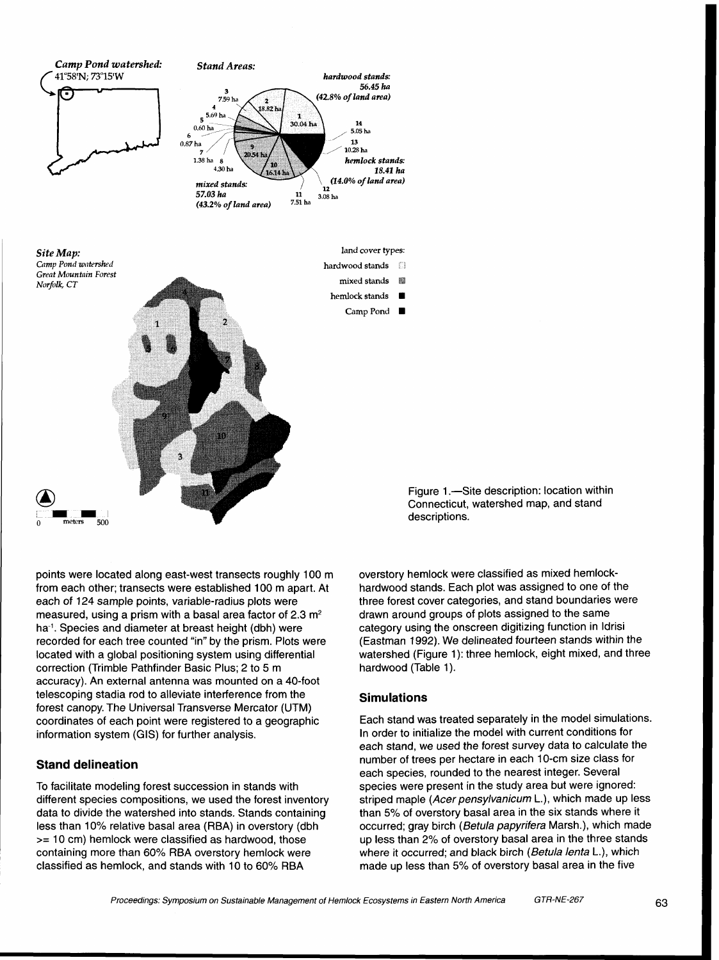

points were located along east-west transects roughly 100 m from each other; transects were established 100 m apart. At each of 124 sample points, variable-radius plots were measured, using a prism with a basal area factor of 2.3 m<sup>2</sup> ha-'. Species and diameter at breast height (dbh) were recorded for each tree counted "in" by the prism. Plots were located with a global positioning system using differential correction (Trimble Pathfinder Basic Plus; 2 to 5 m accuracy). An external antenna was mounted on a 40-foot telescoping stadia rod to alleviate interference from the forest canopy. The Universal Transverse Mercator (UTM) coordinates of each point were registered to a geographic information system (GIS) for further analysis.

### **Stand delineation**

To facilitate modeling forest succession in stands with different species compositions, we used the forest inventory data to divide the watershed into stands. Stands containing less than 10% relative basal area (RBA) in overstory (dbh >= 10 cm) hemlock were classified as hardwood, those containing more than 60% RBA overstory hemlock were classified as hemlock, and stands with 10 to 60% RBA

Figure 1.-Site description: location within Connecticut, watershed map, and stand descriptions.

overstory hemlock were classified as mixed hemlockhardwood stands. Each plot was assigned to one of the three forest cover categories, and stand boundaries were drawn around groups of plots assigned to the same category using the onscreen digitizing function in ldrisi (Eastman 1992). We delineated fourteen stands within the watershed (Figure 1): three hemlock, eight mixed, and three hardwood (Table 1).

### **Simulations**

Each stand was treated separately in the model simulations. In order to initialize the model with current conditions for each stand, we used the forest survey data to calculate the number of trees per hectare in each 10-cm size class for each species, rounded to the nearest integer. Several species were present in the study area but were ignored: striped maple (Acer pensylvanicum L.), which made up less than 5% of overstory basal area in the six stands where it occurred; gray birch (Betula papyrifera Marsh.), which made up less than 2% of overstory basal area in the three stands where it occurred; and black birch (Betula lenta L.), which made up less than 5% of overstory basal area in the five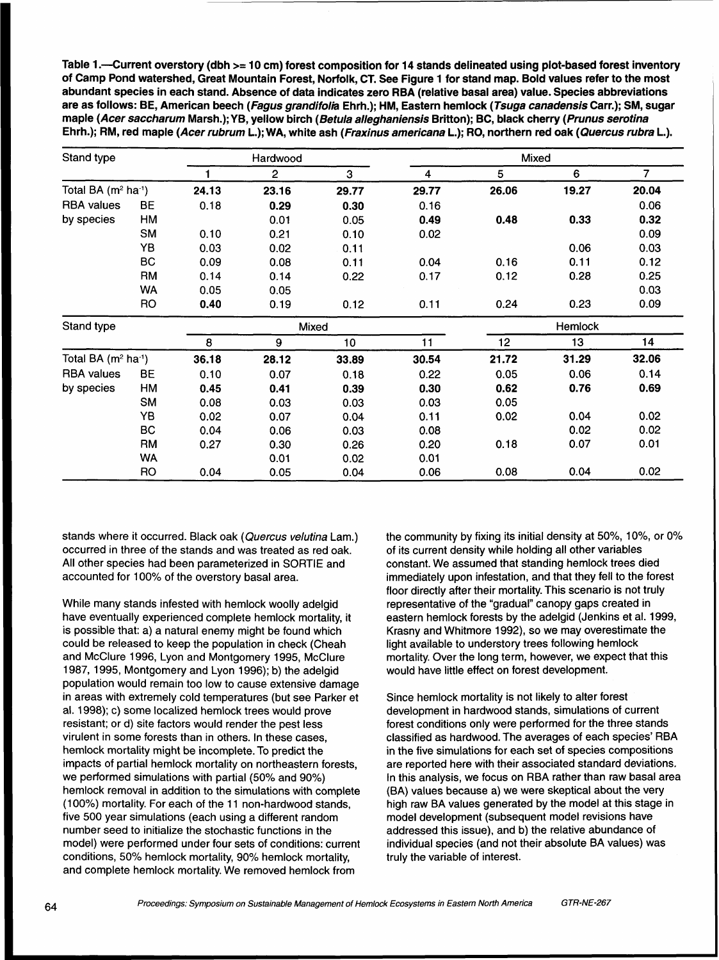**Table 1 .-Current overstory (dbh** >= **10 cm) forest composition for 14 stands delineated using plot-based forest inventory of Camp Pond watershed, Great Mountain Forest, Norfolk, CT. See Figure 1 for stand map. Bold values refer to the most abundant species in each stand. Absence of data indicates zero RBA (relative basal area) value. Species abbreviations are as follows: BE, American beech (Fagus grandifolia Ehrh.); HM, Eastern hemlock (Tsuga canadensis Carr.); SM, sugar maple (Acer saccharum Marsh.); Y B, yellow birch (Betula alleghaniensis Britton); BC, black cherry (Prunus serotina Ehrh.); RM, red maple (Acer rubrum L.); WA, white ash (Fraxinus americana L.); RO, northern red oak (Quercus rubra L.).** 

| Stand type           |           |       | Hardwood |       |                         | Mixed |         |       |
|----------------------|-----------|-------|----------|-------|-------------------------|-------|---------|-------|
|                      |           |       | 2        | 3     | $\overline{\mathbf{4}}$ | 5     | 6       | 7     |
| Total BA $(m2 ha-1)$ |           | 24.13 | 23.16    | 29.77 | 29.77                   | 26.06 | 19.27   | 20.04 |
| <b>RBA</b> values    | <b>BE</b> | 0.18  | 0.29     | 0.30  | 0.16                    |       |         | 0.06  |
| by species           | HM        |       | 0.01     | 0.05  | 0.49                    | 0.48  | 0.33    | 0.32  |
|                      | <b>SM</b> | 0.10  | 0.21     | 0.10  | 0.02                    |       |         | 0.09  |
|                      | YB        | 0.03  | 0.02     | 0.11  |                         |       | 0.06    | 0.03  |
|                      | BС        | 0.09  | 0.08     | 0.11  | 0.04                    | 0.16  | 0.11    | 0.12  |
|                      | <b>RM</b> | 0.14  | 0.14     | 0.22  | 0.17                    | 0.12  | 0.28    | 0.25  |
|                      | WA        | 0.05  | 0.05     |       |                         |       |         | 0.03  |
|                      | <b>RO</b> | 0.40  | 0.19     | 0.12  | 0.11                    | 0.24  | 0.23    | 0.09  |
| Stand type           |           |       |          | Mixed |                         |       | Hemlock |       |
|                      |           | 8     | 9        | 10    | 11                      | 12    | 13      | 14    |
| Total BA $(m2 ha-1)$ |           | 36.18 | 28.12    | 33.89 | 30.54                   | 21.72 | 31.29   | 32.06 |
| <b>RBA</b> values    | <b>BE</b> | 0.10  | 0.07     | 0.18  | 0.22                    | 0.05  | 0.06    | 0.14  |
| by species           | НM        | 0.45  | 0.41     | 0.39  | 0.30                    | 0.62  | 0.76    | 0.69  |
|                      | <b>SM</b> | 0.08  | 0.03     | 0.03  | 0.03                    | 0.05  |         |       |
|                      | YB        | 0.02  | 0.07     | 0.04  | 0.11                    | 0.02  | 0.04    | 0.02  |
|                      | BC        | 0.04  | 0.06     | 0.03  | 0.08                    |       | 0.02    | 0.02  |
|                      | <b>RM</b> | 0.27  | 0.30     | 0.26  | 0.20                    | 0.18  | 0.07    | 0.01  |
|                      | WA        |       | 0.01     | 0.02  | 0.01                    |       |         |       |
|                      | RO        | 0.04  | 0.05     | 0.04  | 0.06                    | 0.08  | 0.04    | 0.02  |

stands where it occurred. Black oak (Quercus velutina Lam.) occurred in three of the stands and was treated as red oak. All other species had been parameterized in SORTIE and accounted for 100% of the overstory basal area.

While many stands infested with hemlock woolly adelgid have eventually experienced complete hemlock mortality, it is possible that: a) a natural enemy might be found which could be released to keep the population in check (Cheah and McClure 1996, Lyon and Montgomery 1995, McClure 1 987, 1995, Montgomery and Lyon 1996); b) the adelgid population would remain too low to cause extensive damage in areas with extremely cold temperatures (but see Parker et al. 1998); c) some localized hemlock trees would prove resistant; or d) site factors would render the pest less virulent in some forests than in others. In these cases, hemlock mortality might be incomplete. To predict the impacts of partial hemlock mortality on northeastern forests, we performed simulations with partial (50% and 90%) hemlock removal in addition to the simulations with complete (100%) mortality. For each of the 11 non-hardwood stands, five 500 year simulations (each using a different random number seed to initialize the stochastic functions in the model) were performed under four sets of conditions: current conditions, 50% hemlock mortality, 90% hemlock mortality, and complete hemlock mortality. We removed hemlock from

the community by fixing its initial density at  $50\%$ ,  $10\%$ , or  $0\%$ of its current density while holding all other variables constant. We assumed that standing hemlock trees died immediately upon infestation, and that they fell to the forest floor directly after their mortality. This scenario is not truly representative of the "gradual" canopy gaps created in eastern hemlock forests by the adelgid (Jenkins et al. 1999, Krasny and Whitmore 1992), so we may overestimate the light available to understory trees following hemlock mortality. Over the long term, however, we expect that this would have little effect on forest development.

Since hemlock mortality is not likely to alter forest development in hardwood stands, simulations of current forest conditions only were performed for the three stands classified as hardwood. The averages of each species' RBA in the five simulations for each set of species compositions are reported here with their associated standard deviations. In this analysis, we focus on RBA rather than raw basal area (BA) values because a) we were skeptical about the very high raw BA values generated by the model at this stage in model development (subsequent model revisions have addressed this issue), and b) the relative abundance of individual species (and not their absolute BA values) was truly the variable of interest.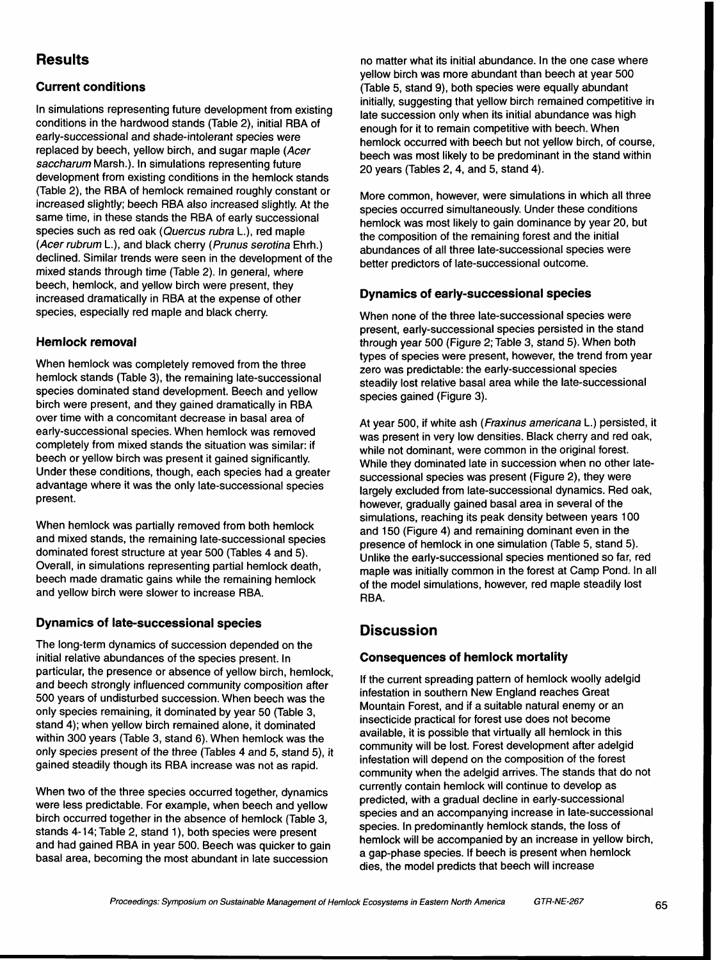# **Results**

## **Current conditions**

In simulations representing future development from existing<br>conditions in the hardwood stands (Table 2), initial RBA of<br>early-successional and shade-intolerant species were<br>replaced by beech, yellow birch, and sugar maple (Table 2), the RBA of hemlock remained roughly constant or increased slightly; beech RBA also increased slightly. At the same time, in these stands the RBA of early successional species such as red oak (Quercus rubra L.), red maple (Acer rubrum L.), and black cherry (Prunus serotina Ehrh.) declined. Similar trends were seen in the development of the mixed stands through time (Table 2). In general, where beech, hemlock, and yellow birch were present, they increased dramatically in RBA at the expense of other species, especially red maple and black cherry.

### **Hemlock removal**

When hemlock was completely removed from the three hemlock stands (Table 3), the remaining late-successional species dominated stand development. Beech and yellow birch were present, and they gained dramatically in RBA<br>over time with a concomitant decrease in basal area of

# **Dynamics of late-successional species Discussion**

The long-term dynamics of succession depended on the initial relative abundances of the species present. In **Consequences of hemlock mortality**  particular, the presence or absence of yellow birch, hemlock, and beech strongly influenced community composition after 500 years of undisturbed succession. When beech was the only species remaining, it dominated by year 50 (Table 3, stand 4); when yellow birch remained alone, it dominated within 300 years (Table 3, stand 6). When hemlock was the only species present of the three (Tables **4** and 5, stand 5), it gained steadily though its RBA increase was not as rapid.

When two of the three species occurred together, dynamics were less predictable. For example, when beech and yellow birch occurred together in the absence of hemlock (Table 3, stands 4- 14; Table 2, stand I), both species were present and had gained RBA in year 500. Beech was quicker to gain basal area, becoming the most abundant in late succession

no matter what its initial abundance. In the one case where yellow birch was more abundant than beech at year 500 (Table 5, stand **9),** both species were equally abundant

More common, however, were simulations in which all three species occurred simultaneously. Under these conditions hemlock was most likely to gain dominance by year 20, but the composition of the remaining forest and the initial abundances of all three late-successional species were better predictors of late-successional outcome.

### **Dynamics of early-successional species**

When none of the three late-successional species were present, early-successional species persisted in the stand through year 500 (Figure 2; Table 3, stand 5). When both types of species were present, however, the trend from year zero was predictable: the early-successional species steadily lost relative basal area while the late-successional species gained (Figure 3).

over time with a concomitant decrease in basal area of a tyear 500, if white ash (*Fraxinus americana* L.) persisted, it<br>early-successional species. When hemlock was removed<br>completely from mixed stands the situation was s beech or yellow birch was present it gained significantly. While they dominated late in succession when no other late-<br>Under these conditions, though, each species had a greater successional species was present (Figure 2), When hemlock was partially removed from both hemlock<br>and mixed stands, the remaining late-successional species<br>dominated forest structure at year 500 (Tables 4 and 5).<br>Overall, in simulations representing partial hemlock d

If the current spreading pattern of hemlock woolly adelgid infestation in southern New England reaches Great Mountain Forest, and if a suitable natural enemy or an insecticide practical for forest use does not become available, it is possible that virtually all hemlock in this community will be lost. Forest development after adelgid infestation will depend on the composition of the forest community when the adelgid arrives. The stands that do not currently contain hemlockwill continue to develop as predicted, with a gradual decline in early-successional species and an accompanying increase in late-successional species. In predominantly hemlock stands, the loss of hemlock will be accompanied by an increase in yellow birch, a gap-phase species. If beech is present when hemlock dies, the model predicts that beech will increase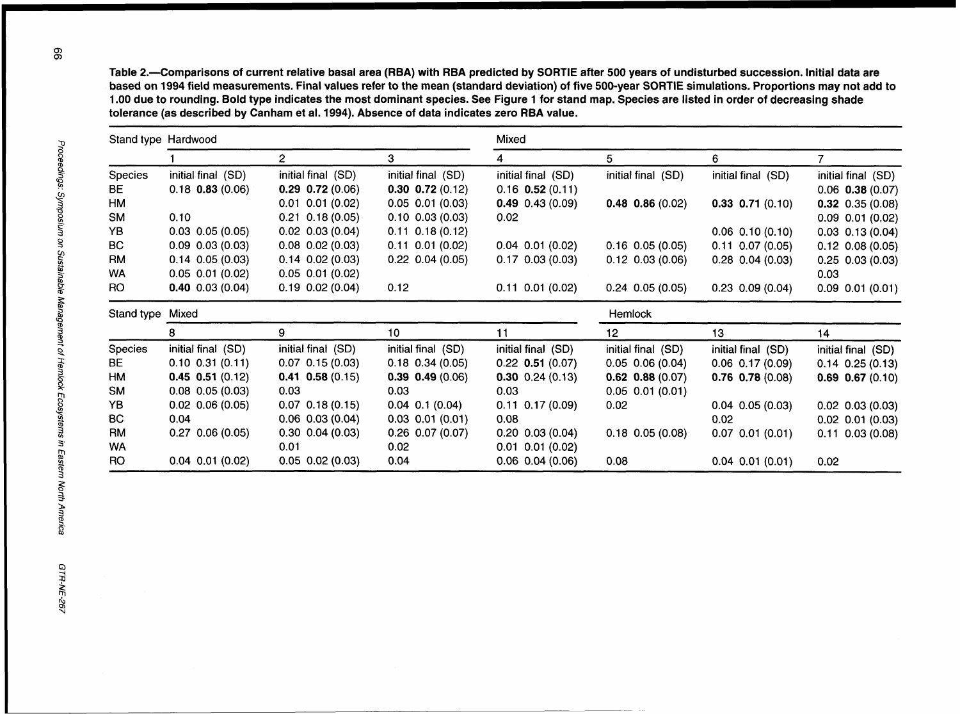**Table 2.-Comparisons of current relative basal area (RBA) with RBA predicted by SORTIE after** 500 **years of undisturbed succession. Initial data are based on** 1994 **field measurements. Final values refer to the mean (standard deviation) of five 500-year SORTIE simulations. Proportions may not add to**  1 .OO **due to rounding. Bold type indicates the most dominant species. See Figure** 1 **for stand map. Species are listed in order of decreasing shade tolerance (as described by Canham et al.** 1994). **Absence of data indicates zero RBA value.** 

|            | Stand type Hardwood    |                                |                        | Mixed                  |                        |                        |                                                  |  |  |
|------------|------------------------|--------------------------------|------------------------|------------------------|------------------------|------------------------|--------------------------------------------------|--|--|
|            |                        | $\overline{c}$                 | 3                      | 4                      | 5                      | 6                      | 7                                                |  |  |
| Species    | initial final (SD)     | initial final (SD)             | initial final (SD)     | initial final (SD)     | initial final (SD)     | initial final (SD)     | initial final (SD)                               |  |  |
| <b>BE</b>  | $0.18$ 0.83 (0.06)     | $0.29$ 0.72 (0.06)             | $0.30$ $0.72$ $(0.12)$ | $0.16$ 0.52 (0.11)     |                        |                        | $0.06$ 0.38 $(0.07)$                             |  |  |
| HM         |                        | $0.01$ $0.01$ $(0.02)$         | $0.05$ $0.01$ $(0.03)$ | $0.49$ 0.43 (0.09)     | $0.48$ 0.86 (0.02)     | $0.33$ 0.71 (0.10)     | $0.32$ 0.35 (0.08)                               |  |  |
| <b>SM</b>  | 0.10                   | $0.21$ 0.18 (0.05)             | $0.10$ $0.03$ $(0.03)$ | 0.02                   |                        |                        | $0.09$ $0.01$ $(0.02)$                           |  |  |
| YB         | $0.03$ $0.05$ $(0.05)$ | $0.02$ $0.03$ $(0.04)$         | $0.11$ $0.18$ $(0.12)$ |                        |                        | $0.06$ $0.10$ $(0.10)$ | $0.03$ $0.13$ $(0.04)$                           |  |  |
| <b>BC</b>  | $0.09$ $0.03$ $(0.03)$ | $0.08$ $0.02$ $(0.03)$         | $0.11$ $0.01$ $(0.02)$ | $0.04$ $0.01$ $(0.02)$ | $0.16$ $0.05$ $(0.05)$ | $0.11$ $0.07$ $(0.05)$ | $0.12$ $0.08$ $(0.05)$                           |  |  |
| <b>RM</b>  | $0.14$ 0.05 (0.03)     | $0.14$ $0.02$ $(0.03)$         | $0.22$ $0.04$ $(0.05)$ | $0.17$ $0.03$ $(0.03)$ | $0.12$ $0.03$ $(0.06)$ | $0.28$ 0.04 (0.03)     | $0.25$ 0.03 (0.03)                               |  |  |
| WA         | $0.05$ $0.01$ $(0.02)$ | $0.05$ $0.01$ $(0.02)$         |                        |                        |                        |                        | 0.03                                             |  |  |
| RO.        | $0.40$ $0.03$ $(0.04)$ | $0.19$ $0.02$ $(0.04)$         | 0.12                   | $0.11$ $0.01$ $(0.02)$ | $0.24$ 0.05 (0.05)     | $0.23$ $0.09$ $(0.04)$ | $0.09$ $0.01$ $(0.01)$                           |  |  |
| Stand type | Mixed                  |                                |                        |                        | <b>Hemlock</b>         |                        |                                                  |  |  |
|            | 8                      | 9                              | 10 <sup>1</sup>        | 11                     | 12                     | 13                     | 14                                               |  |  |
| Species    | initial final (SD)     | initial final (SD)             | initial final (SD)     | initial final (SD)     | initial final (SD)     | initial final (SD)     | initial final (SD)                               |  |  |
| <b>BE</b>  | $0.10$ $0.31$ $(0.11)$ | $0.07$ 0.15 (0.03)             | $0.18$ $0.34$ $(0.05)$ | $0.22$ 0.51 (0.07)     | $0.05$ $0.06$ $(0.04)$ | $0.06$ $0.17$ $(0.09)$ | $0.14$ $0.25$ $(0.13)$                           |  |  |
| HM         | $0.45$ $0.51$ $(0.12)$ | $0.41$ 0.58 (0.15)             | $0.39$ $0.49$ $(0.06)$ | $0.30$ 0.24 (0.13)     | $0.62$ 0.88 (0.07)     | $0.76$ $0.78$ $(0.08)$ | $0.69$ $0.67$ $(0.10)$                           |  |  |
|            | $0.08$ $0.05$ $(0.03)$ | 0.03                           | 0.03                   | 0.03                   | $0.05$ $0.01$ $(0.01)$ |                        |                                                  |  |  |
| <b>SM</b>  |                        |                                |                        |                        | 0.02                   | $0.04$ $0.05$ $(0.03)$ | $0.02$ $0.03$ $(0.03)$                           |  |  |
| YB         | $0.02$ 0.06 (0.05)     | $0.07$ 0.18 (0.15)             | $0.04$ 0.1 (0.04)      | $0.11$ $0.17$ $(0.09)$ |                        |                        |                                                  |  |  |
| <b>BC</b>  | 0.04                   | $0.06$ $0.03$ $(0.04)$         | $0.03$ $0.01$ $(0.01)$ | 0.08                   |                        | 0.02                   |                                                  |  |  |
| <b>RM</b>  | $0.27$ $0.06$ $(0.05)$ | $0.30$ $0.04$ $(0.03)$         | $0.26$ 0.07 (0.07)     | $0.20$ $0.03$ $(0.04)$ | $0.18$ 0.05 (0.08)     | $0.07$ $0.01$ $(0.01)$ |                                                  |  |  |
| <b>WA</b>  | $0.04$ $0.01$ $(0.02)$ | 0.01<br>$0.05$ $0.02$ $(0.03)$ | 0.02                   | $0.01$ $0.01$ $(0.02)$ |                        |                        | $0.02$ $0.01$ $(0.03)$<br>$0.11$ $0.03$ $(0.08)$ |  |  |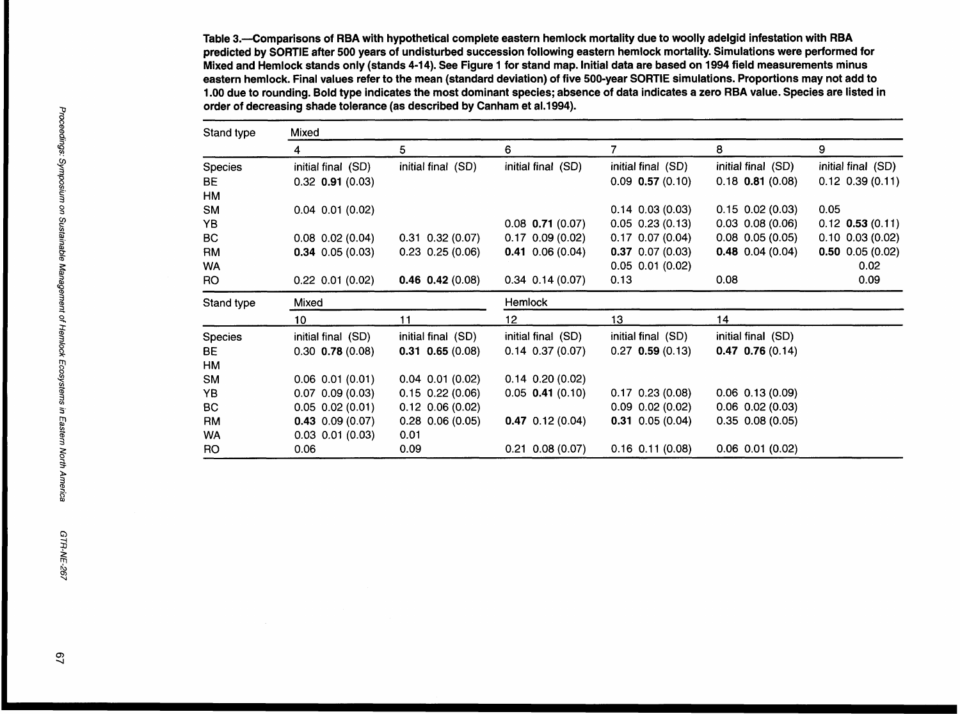Table 3.--Comparisons of **RBA** with hypothetical complete eastern hemlock mortality due to woolly adelgid infestation with **RBA**  predicted by SORTIE after 500 years of undisturbed succession following eastern hemlock mortality. Simulations were performed for Mixed and Hemlock stands only (stands 4-14). See Figure 1 for stand map. Initial data are based on 1994 field measurements minus eastern hemlock. Final values refer to the mean (standard deviation) of five 500-year SORTIE simulations. Proportions may not add to 1 .OO due to rounding. Bold type indicates the most dominant species; absence of data indicates a zero **RBA** value. Species are listed in order of decreasing shade tolerance (as described by Canham et a1.1994).

| Stand type | Mixed                  |                        |                        |                        |                        |                        |  |  |  |
|------------|------------------------|------------------------|------------------------|------------------------|------------------------|------------------------|--|--|--|
|            | 4                      | 5                      | 6                      | 7.                     | 8                      | 9                      |  |  |  |
| Species    | initial final (SD)     | initial final (SD)     | initial final (SD)     | initial final (SD)     | initial final (SD)     | initial final (SD)     |  |  |  |
| BE         | $0.32$ 0.91 (0.03)     |                        |                        | $0.09$ 0.57 (0.10)     | $0.18$ 0.81 (0.08)     | $0.12$ $0.39$ $(0.11)$ |  |  |  |
| HM         |                        |                        |                        |                        |                        |                        |  |  |  |
| <b>SM</b>  | $0.04$ $0.01$ $(0.02)$ |                        |                        | $0.14$ $0.03$ $(0.03)$ | $0.15$ $0.02$ $(0.03)$ | 0.05                   |  |  |  |
| YB         |                        |                        | $0.08$ 0.71 (0.07)     | $0.05$ $0.23$ $(0.13)$ | $0.03$ $0.08$ $(0.06)$ | $0.12$ 0.53 (0.11)     |  |  |  |
| BC.        | $0.08$ $0.02$ $(0.04)$ | $0.31$ $0.32$ $(0.07)$ | $0.17$ 0.09 (0.02)     | $0.17$ $0.07$ $(0.04)$ | $0.08$ $0.05$ $(0.05)$ | $0.10$ $0.03$ $(0.02)$ |  |  |  |
| <b>RM</b>  | $0.34$ 0.05 (0.03)     | $0.23$ 0.25 (0.06)     | $0.41$ 0.06 (0.04)     | $0.37$ 0.07 (0.03)     | $0.48$ 0.04 (0.04)     | $0.50$ 0.05 (0.02)     |  |  |  |
| <b>WA</b>  |                        |                        |                        | $0.05$ $0.01$ $(0.02)$ |                        | 0.02                   |  |  |  |
| RO.        | $0.22$ 0.01 (0.02)     | $0.46$ 0.42 (0.08)     | $0.34$ 0.14 (0.07)     | 0.13                   | 0.08                   | 0.09                   |  |  |  |
| Stand type | Mixed                  |                        | Hemlock                |                        |                        |                        |  |  |  |
|            | 10                     | 11                     | 12                     | 13                     | 14                     |                        |  |  |  |
| Species    | initial final (SD)     | initial final (SD)     | initial final (SD)     | initial final (SD)     | initial final (SD)     |                        |  |  |  |
| BE         | $0.30$ 0.78 $(0.08)$   | $0.31$ $0.65$ (0.08)   | $0.14$ $0.37$ $(0.07)$ | $0.27$ 0.59 (0.13)     | $0.47$ 0.76 (0.14)     |                        |  |  |  |
| HM         |                        |                        |                        |                        |                        |                        |  |  |  |
| <b>SM</b>  | $0.06$ $0.01$ $(0.01)$ | $0.04$ 0.01 (0.02)     | $0.14$ $0.20$ $(0.02)$ |                        |                        |                        |  |  |  |
| YB         | $0.07$ $0.09$ $(0.03)$ | $0.15$ $0.22$ $(0.06)$ | $0.05$ 0.41 (0.10)     | $0.17$ 0.23 (0.08)     | $0.06$ $0.13$ $(0.09)$ |                        |  |  |  |
| BC         | $0.05$ $0.02$ $(0.01)$ | $0.12$ $0.06$ $(0.02)$ |                        | $0.09$ $0.02$ $(0.02)$ | $0.06$ $0.02$ $(0.03)$ |                        |  |  |  |
| <b>RM</b>  | $0.43$ 0.09 (0.07)     | $0.28$ 0.06 (0.05)     | $0.47$ 0.12 (0.04)     | $0.31$ 0.05 (0.04)     | $0.35$ $0.08$ $(0.05)$ |                        |  |  |  |
| <b>WA</b>  | $0.03$ $0.01$ $(0.03)$ | 0.01                   |                        |                        |                        |                        |  |  |  |
| RO         | 0.06                   | 0.09                   | $0.21$ $0.08$ $(0.07)$ | $0.16$ $0.11$ $(0.08)$ | $0.06$ $0.01$ $(0.02)$ |                        |  |  |  |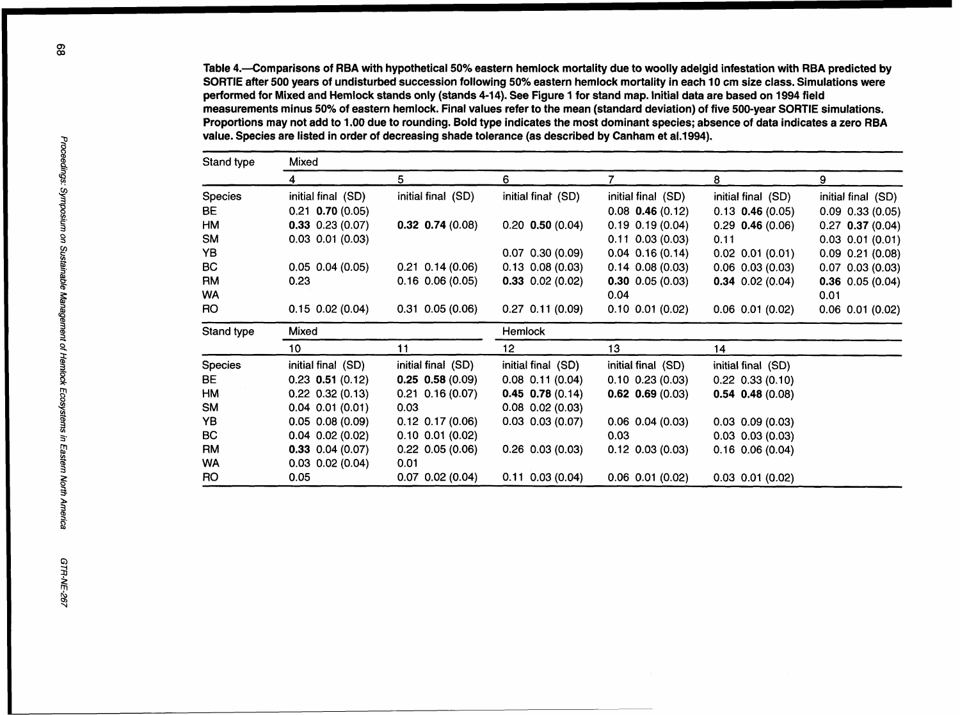Table 4.-Comparisons of RBA with hypothetical 50% eastern hemlock mortality due to woolly adelgid infestation with RBA predicted by SORTIE after 500 years of undisturbed succession following 50% eastern hemlock mortality in each 10 cm size class. Simulations were performed for Mixed and Hemlock stands only (stands 4-14). See Figure 1 for stand map. Initial data are based on 1994 field measurements minus 50% of eastern hemlock. Final values refer to the mean (standard deviation) of five 500-year SORTIE simulations. Proportions may not add to 1 .OO due to rounding. Bold type indicates the most dominant species; absence of data indicates a zero RBA value. Species are listed in order of decreasing shade tolerance (as described by Canham et a1.1994).

| Stand type     | Mixed                  |                        |                        |                        |                        |                        |  |  |  |
|----------------|------------------------|------------------------|------------------------|------------------------|------------------------|------------------------|--|--|--|
|                | 4                      | 5                      | 6                      |                        | 8                      | 9                      |  |  |  |
| Species        | initial final (SD)     | initial final (SD)     | initial final (SD)     | initial final (SD)     | initial final (SD)     | initial final (SD)     |  |  |  |
| BE.            | $0.21$ 0.70 $(0.05)$   |                        |                        | $0.08$ 0.46 (0.12)     | $0.13$ 0.46 (0.05)     | $0.09$ $0.33$ $(0.05)$ |  |  |  |
| HM             | $0.33$ 0.23 (0.07)     | $0.32$ 0.74 (0.08)     | $0.20$ 0.50 (0.04)     | $0.19$ $0.19$ $(0.04)$ | $0.29$ 0.46 (0.06)     | $0.27$ 0.37 (0.04)     |  |  |  |
| <b>SM</b>      | $0.03$ $0.01$ $(0.03)$ |                        |                        | $0.11$ $0.03$ $(0.03)$ | 0.11                   | $0.03$ $0.01$ $(0.01)$ |  |  |  |
| YB             |                        |                        | $0.07$ $0.30$ $(0.09)$ | $0.04$ $0.16$ $(0.14)$ | $0.02$ $0.01$ $(0.01)$ | $0.09$ $0.21$ $(0.08)$ |  |  |  |
| <b>BC</b>      | $0.05$ 0.04 (0.05)     | $0.21$ 0.14 (0.06)     | $0.13$ $0.08$ $(0.03)$ | $0.14$ $0.08$ $(0.03)$ | $0.06$ $0.03$ $(0.03)$ | $0.07$ $0.03$ $(0.03)$ |  |  |  |
| RM             | 0.23                   | $0.16$ $0.06$ $(0.05)$ | $0.33$ $0.02$ $(0.02)$ | $0.30$ 0.05 (0.03)     | $0.34$ 0.02 (0.04)     | $0.36$ 0.05 (0.04)     |  |  |  |
| <b>WA</b>      |                        |                        |                        | 0.04                   |                        | 0.01                   |  |  |  |
| <b>RO</b>      | $0.15$ $0.02$ $(0.04)$ | $0.31$ $0.05$ $(0.06)$ | $0.27$ 0.11 (0.09)     | $0.10$ $0.01$ $(0.02)$ | $0.06$ $0.01$ $(0.02)$ | $0.06$ $0.01$ $(0.02)$ |  |  |  |
| Stand type     | Mixed                  |                        | Hemlock                |                        |                        |                        |  |  |  |
|                | 10                     | 11                     | 12 <sub>2</sub>        | 13                     | 14                     |                        |  |  |  |
| <b>Species</b> | initial final (SD)     | initial final (SD)     | initial final (SD)     | initial final (SD)     | initial final (SD)     |                        |  |  |  |
| BE             | $0.23$ 0.51 (0.12)     | $0.25$ 0.58 (0.09)     | $0.08$ 0.11 (0.04)     | $0.10$ $0.23$ $(0.03)$ | $0.22$ $0.33$ $(0.10)$ |                        |  |  |  |
| <b>HM</b>      | $0.22$ 0.32 (0.13)     | $0.21$ $0.16$ (0.07)   | $0.45$ 0.78 (0.14)     | $0.62$ $0.69$ $(0.03)$ | $0.54$ $0.48$ $(0.08)$ |                        |  |  |  |
| <b>SM</b>      | $0.04$ $0.01$ $(0.01)$ | 0.03                   | $0.08$ $0.02$ $(0.03)$ |                        |                        |                        |  |  |  |
| YB             | $0.05$ $0.08$ $(0.09)$ | $0.12$ $0.17$ $(0.06)$ | $0.03$ $0.03$ $(0.07)$ | $0.06$ $0.04$ $(0.03)$ | $0.03$ $0.09$ $(0.03)$ |                        |  |  |  |
| BC             | $0.04$ $0.02$ $(0.02)$ | $0.10$ $0.01$ $(0.02)$ |                        | 0.03                   | $0.03$ $0.03$ $(0.03)$ |                        |  |  |  |
| RM             | $0.33$ 0.04 (0.07)     | $0.22$ 0.05 (0.06)     | $0.26$ $0.03$ $(0.03)$ | $0.12$ $0.03$ $(0.03)$ | $0.16$ $0.06$ $(0.04)$ |                        |  |  |  |
| <b>WA</b>      | $0.03$ $0.02$ $(0.04)$ | 0.01                   |                        |                        |                        |                        |  |  |  |
| RO             | 0.05                   | $0.07$ $0.02$ $(0.04)$ | $0.11$ $0.03$ $(0.04)$ | $0.06$ $0.01$ $(0.02)$ | $0.03$ $0.01$ $(0.02)$ |                        |  |  |  |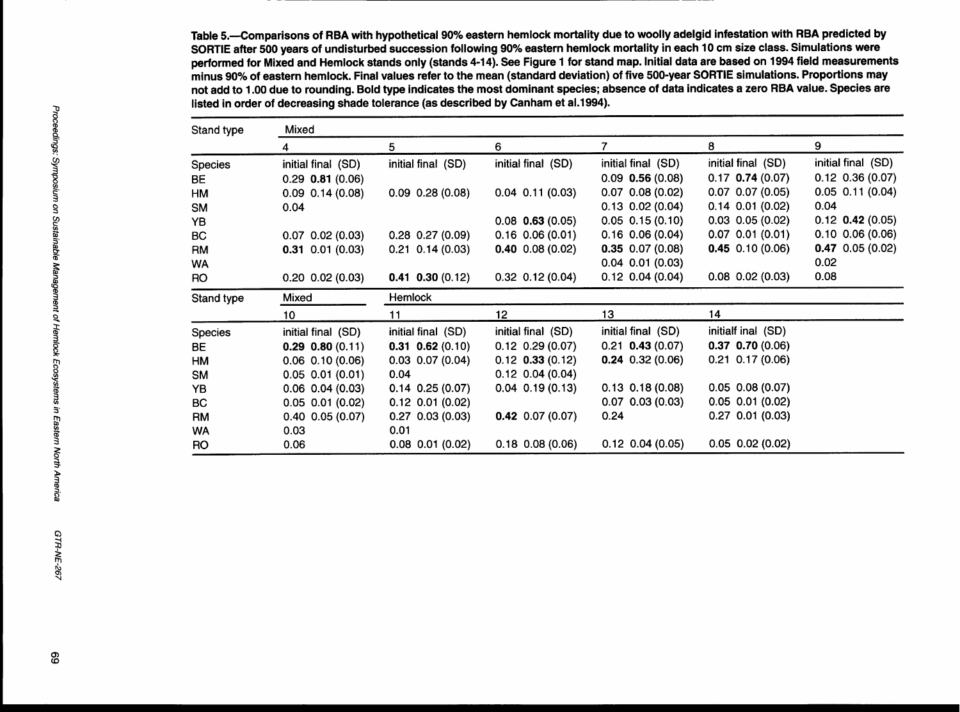Table 5.--Comparisons of RBA with hypothetical 90% eastern hemlock mortality due to woolly adelgid infestation with RBA predicted by SORTIE after 500 years of undisturbed succession following 90% eastern hemlock mortality in each 10 cm size class. Simulations were performed for Mixed and Hemlock stands only (stands 4-14). See Figure 1 for stand map. Initial data are based on 1994 field measurements minus 90% of eastern hemlock. Final values refer to the mean (standard deviation) of five 500-year SORTIE simulations. Proportions may not add to 1 .OO due to rounding. Bold type indicates the most dominant species; absence of data indicates a zero RBA value. Species are listed in order of decreasing shade tolerance (as described by Canham et al.1994).

| Stand type     | Mixed                  |                        |                        |                        |                        |                        |  |  |  |
|----------------|------------------------|------------------------|------------------------|------------------------|------------------------|------------------------|--|--|--|
|                | 4                      | 5.                     | 6                      | 7                      | 8                      | 9                      |  |  |  |
| Species        | initial final (SD)     | initial final (SD)     | initial final (SD)     | initial final (SD)     | initial final (SD)     | initial final (SD)     |  |  |  |
| BE             | $0.29$ 0.81 (0.06)     |                        |                        | $0.09$ 0.56 $(0.08)$   | $0.17$ 0.74 (0.07)     | $0.12$ $0.36$ $(0.07)$ |  |  |  |
| HМ             | $0.09$ 0.14 (0.08)     | $0.09$ $0.28$ $(0.08)$ | $0.04$ 0.11 (0.03)     | $0.07$ $0.08$ $(0.02)$ | $0.07$ $0.07$ $(0.05)$ | $0.05$ 0.11 (0.04)     |  |  |  |
| <b>SM</b>      | 0.04                   |                        |                        | $0.13$ $0.02$ $(0.04)$ | $0.14$ $0.01$ $(0.02)$ | 0.04                   |  |  |  |
| YB             |                        |                        | $0.08$ 0.63 $(0.05)$   | $0.05$ $0.15$ $(0.10)$ | $0.03$ 0.05 (0.02)     | $0.12$ 0.42 (0.05)     |  |  |  |
| BC             | $0.07$ $0.02$ $(0.03)$ | $0.28$ 0.27 (0.09)     | $0.16$ $0.06$ $(0.01)$ | $0.16$ $0.06$ $(0.04)$ | $0.07$ $0.01$ $(0.01)$ | $0.10$ $0.06$ $(0.06)$ |  |  |  |
| RM             | $0.31$ $0.01$ $(0.03)$ | $0.21$ $0.14$ $(0.03)$ | $0.40$ 0.08 (0.02)     | $0.35$ 0.07 (0.08)     | $0.45$ 0.10 (0.06)     | $0.47$ 0.05 (0.02)     |  |  |  |
| <b>WA</b>      |                        |                        |                        | $0.04$ $0.01$ $(0.03)$ |                        | 0.02                   |  |  |  |
| RO.            | $0.20$ $0.02$ $(0.03)$ | $0.41$ $0.30$ $(0.12)$ | $0.32$ $0.12$ $(0.04)$ | $0.12$ 0.04 (0.04)     | $0.08$ $0.02$ $(0.03)$ | 0.08                   |  |  |  |
| Stand type     | Mixed                  | Hemlock                |                        |                        |                        |                        |  |  |  |
|                | 10                     | 11                     | 12                     | 13                     | 14                     |                        |  |  |  |
| <b>Species</b> | initial final (SD)     | initial final (SD)     | initial final (SD)     | initial final (SD)     | initialf inal (SD)     |                        |  |  |  |
| BE             | $0.29$ $0.80$ $(0.11)$ | $0.31$ $0.62$ (0.10)   | $0.12$ $0.29$ $(0.07)$ | $0.21$ 0.43 (0.07)     | $0.37$ $0.70$ $(0.06)$ |                        |  |  |  |
| HM             | $0.06$ $0.10$ $(0.06)$ | $0.03$ $0.07$ $(0.04)$ | $0.12$ 0.33 (0.12)     | $0.24$ 0.32 (0.06)     | $0.21$ $0.17$ $(0.06)$ |                        |  |  |  |
| <b>SM</b>      | $0.05$ $0.01$ $(0.01)$ | 0.04                   | $0.12$ $0.04$ $(0.04)$ |                        |                        |                        |  |  |  |
| YB             | $0.06$ $0.04$ $(0.03)$ | $0.14$ 0.25 (0.07)     | $0.04$ $0.19$ $(0.13)$ | $0.13$ $0.18$ $(0.08)$ | $0.05$ $0.08$ $(0.07)$ |                        |  |  |  |
| BC             | $0.05$ $0.01$ $(0.02)$ | $0.12$ $0.01$ $(0.02)$ |                        | $0.07$ $0.03$ $(0.03)$ | $0.05$ $0.01$ $(0.02)$ |                        |  |  |  |
| <b>RM</b>      | $0.40$ $0.05$ $(0.07)$ | $0.27$ 0.03 (0.03)     | $0.42$ 0.07 (0.07)     | 0.24                   | $0.27$ $0.01$ $(0.03)$ |                        |  |  |  |
| <b>WA</b>      | 0.03                   | 0.01                   |                        |                        |                        |                        |  |  |  |
| RO.            | 0.06                   | $0.08$ $0.01$ $(0.02)$ | $0.18$ $0.08$ $(0.06)$ | $0.12$ $0.04$ $(0.05)$ | $0.05$ $0.02$ $(0.02)$ |                        |  |  |  |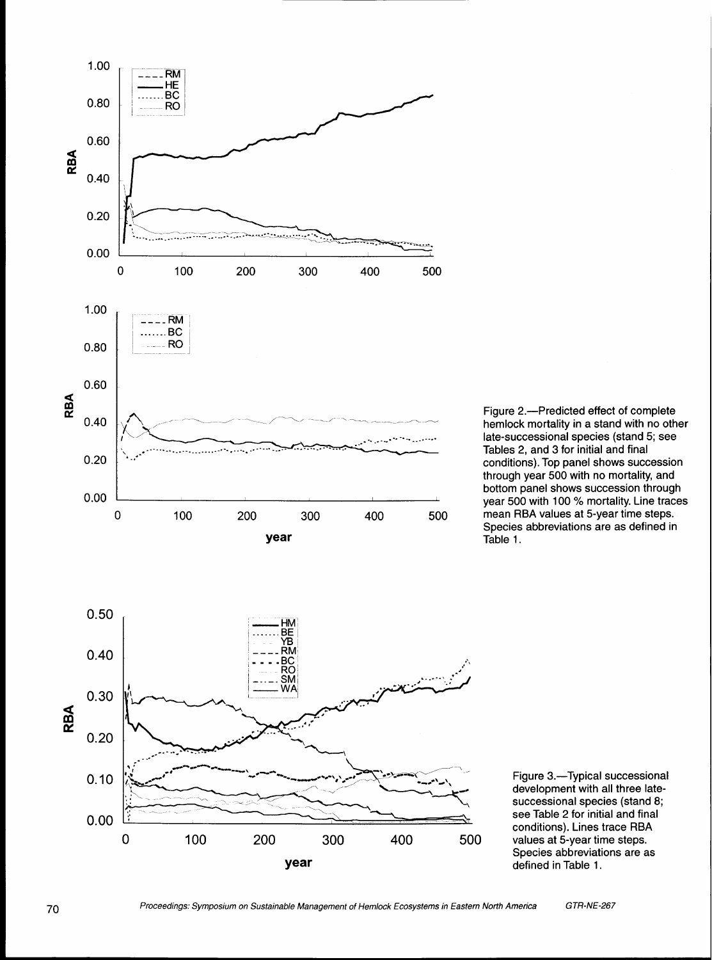

Figure 2.-Predicted effect of complete hemlock mortality in a stand with no other late-successional species (stand 5; see Tables 2, and 3 for initial and final conditions). Top panel shows succession through year 500 with no mortality, and bottom panel shows succession through year 500 with 100 *5%* mortality. Line traces mean RBA values at 5-year time steps. Species abbreviations are as defined in Table 1.



 $0.10$ 

 $0.00$ 

Proceedings: Symposium on Sustainable Management of Hemlock Ecosystems in Eastern North America GTR-NE-267

0 100 200 300 400 500 **year**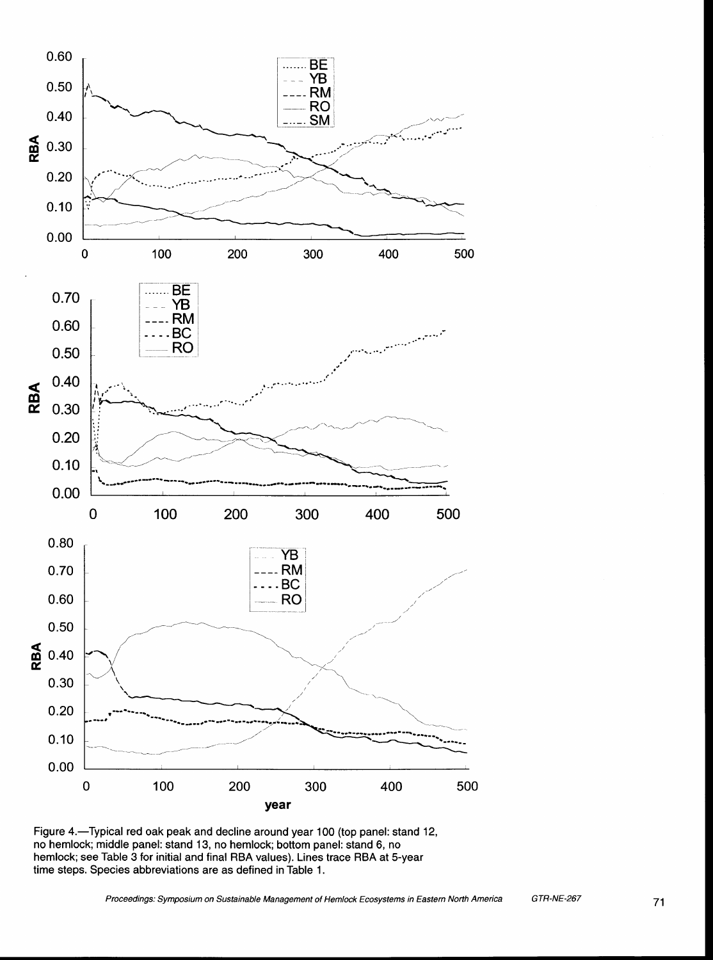

**Figure 4.-Typical red oak peak and decline around year** 100 **(top panel: stand** 12, **no hemlock; middle panel: stand** 13, **no hemlock; bottom panel: stand 6, no hemlock; see Table** 3 **for initial and final RBA values). Lines trace RBA at 5-year time steps. Species abbreviations are as defined in Table** 1.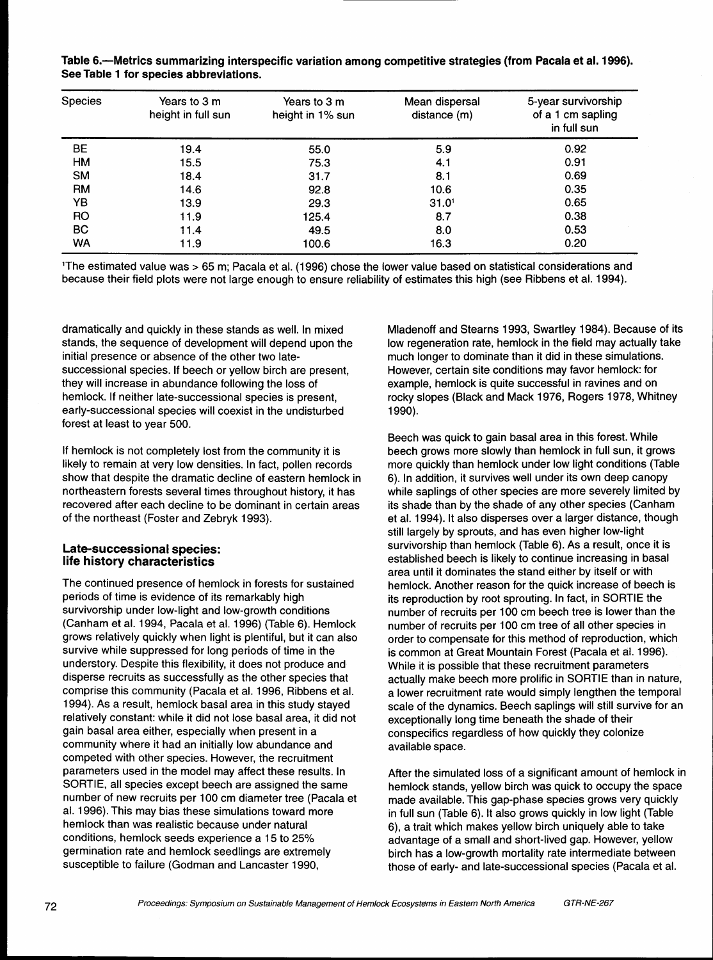| Species        | Years to 3 m<br>height in full sun | Years to 3 m<br>height in 1% sun | Mean dispersal<br>distance (m) | 5-year survivorship<br>of a 1 cm sapling<br>in full sun |  |
|----------------|------------------------------------|----------------------------------|--------------------------------|---------------------------------------------------------|--|
| <b>BE</b>      | 19.4                               | 55.0                             | 5.9                            | 0.92                                                    |  |
| HM             | 15.5                               | 75.3                             | 4.1                            | 0.91                                                    |  |
| <b>SM</b>      | 18.4                               | 31.7                             | 8.1                            | 0.69                                                    |  |
| <b>RM</b>      | 14.6                               | 92.8                             | 10.6                           | 0.35                                                    |  |
| YΒ             | 13.9                               | 29.3                             | 31.0 <sup>1</sup>              | 0.65                                                    |  |
| R <sub>O</sub> | 11.9                               | 125.4                            | 8.7                            | 0.38                                                    |  |
| <b>BC</b>      | 11.4                               | 49.5                             | 8.0                            | 0.53                                                    |  |
| WA             | 11.9                               | 100.6                            | 16.3                           | 0.20                                                    |  |

**Table 6.-Metrics summarizing interspecific variation among competitive strategies (from Pacala et al. 1996). See Table 1 for species abbreviations.** 

'The estimated value was > 65 m; Pacala et al. (1996) chose the lower value based on statistical considerations and because their field plots were not large enough to ensure reliability of estimates this high (see Ribbens et al. 1994).

dramatically and quickly in these stands as well. In mixed stands, the sequence of development will depend upon the initial presence or absence of the other two latesuccessional species. If beech or yellow birch are present, they will increase in abundance following the loss of hemlock. If neither late-successional species is present, early-successional species will coexist in the undisturbed forest at least to year 500.

If hemlock is not completely lost from the community it is likely to remain at very low densities. In fact, pollen records show that despite the dramatic decline of eastern hemlock in northeastern forests several times throughout history, it has recovered after each decline to be dominant in certain areas of the northeast (Foster and Zebryk 1993).

#### **Late-successional species: life history characteristics**

The continued presence of hemlock in forests for sustained periods of time is evidence of its remarkably high survivorship under low-light and low-growth conditions (Canham et al. 1994, Pacala et al. 1996) (Table 6). Hemlock grows relatively quickly when light is plentiful, but it can also survive while suppressed for long periods of time in the understory. Despite this flexibility, it does not produce and disperse recruits as successfully as the other species that comprise this community (Pacala et al. 1996, Ribbens et al. 1994). As a result, hemlock basal area in this study stayed relatively constant: while it did not lose basal area, it did not gain basal area either, especially when present in a community where it had an initially low abundance and competed with other species. However, the recruitment parameters used in the model may affect these results. In SORTIE, all species except beech are assigned the same number of new recruits per 100 cm diameter tree (Pacala et al. 1996). This may bias these simulations toward more hemlock than was realistic because under natural conditions, hemlock seeds experience a 15 to 25% germination rate and hemlock seedlings are extremely susceptible to failure (Godman and Lancaster 1990,

Mladenoff and Stearns 1993, Swartley 1984). Because of its low regeneration rate, hemlock in the field may actually take much longer to dominate than it did in these simulations. However, certain site conditions may favor hemlock: for example, hemlock is quite successful in ravines and on rocky slopes (Black and Mack 1976, Rogers 1978, Whitney 1 990).

Beech was quick to gain basal area in this forest. While beech grows more slowly than hemlock in full sun, it grows more quickly than hemlock under low light conditions (Table 6). In addition, it survives well under its own deep canopy while saplings of other species are more severely limited by its shade than by the shade of any other species (Canham et al. 1994). It also disperses over a larger distance, though still largely by sprouts, and has even higher low-light survivorship than hemlock (Table 6). As a result, once it is established beech is likely to continue increasing in basal area until it dominates the stand either by itself or with hemlock. Another reason for the quick increase of beech is its reproduction by root sprouting. In fact, in SORTIE the number of recruits per 100 cm beech tree is lower than the number of recruits per 100 cm tree of all other species in order to compensate for this method of reproduction, which is common at Great Mountain Forest (Pacala et al. 1996). While it is possible that these recruitment parameters actually make beech more prolific in SORTIE than in nature, a lower recruitment rate would simply lengthen the temporal scale of the dynamics. Beech saplings will still survive for an exceptionally long time beneath the shade of their conspecifics regardless of how quickly they colonize available space.

After the simulated loss of a significant amount of hemlock in hemlock stands, yellow birch was quick to occupy the space made available. This gap-phase species grows very quickly in full sun (Table 6). It also grows quickly in low light (Table 6), a trait which makes yellow birch uniquely able to take advantage of a small and short-lived gap. However, yellow birch has a low-growth mortality rate intermediate between those of early- and late-successional species (Pacala et al.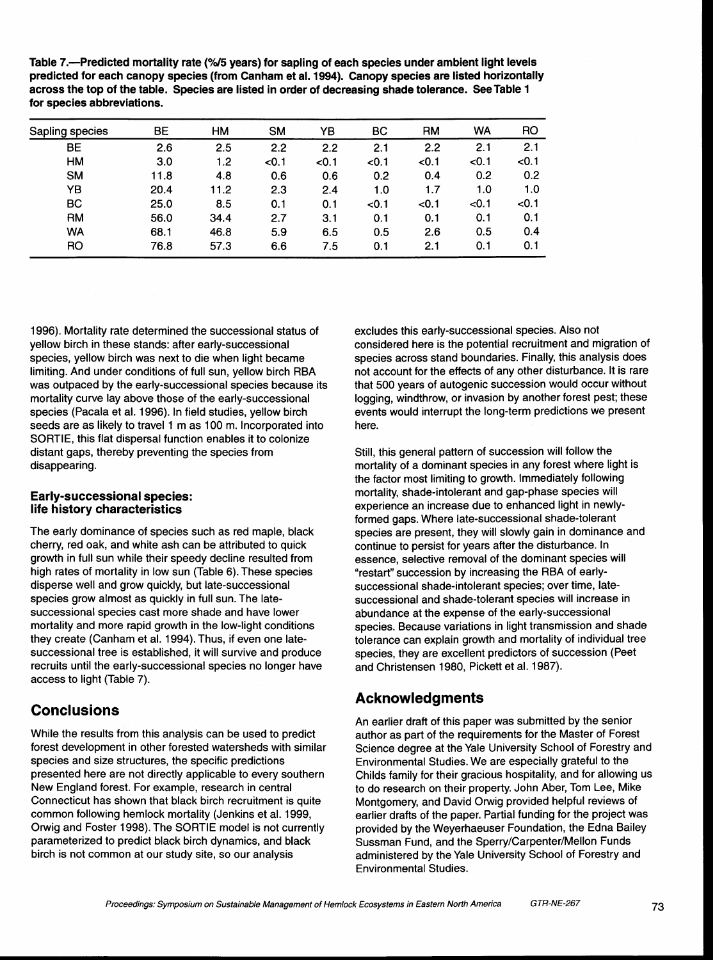Table 7.--Predicted mortality rate (%/5 years) for sapling of each species under ambient light levels **predicted for each canopy species (from Canham et al. 1994). Canopy species are listed horizontally across the top of the table. Species are listed in order of decreasing shade tolerance. SeeTable 1 for species abbreviations.** 

| Sapling species | BЕ   | HM   | <b>SM</b> | YΒ    | BС    | <b>RM</b> | WA    | RO    |
|-----------------|------|------|-----------|-------|-------|-----------|-------|-------|
| BЕ              | 2.6  | 2.5  | 2.2       | 2.2   | 2.1   | 2.2       | 2.1   | 2.1   |
| <b>HM</b>       | 3.0  | 1.2  | < 0.1     | < 0.1 | < 0.1 | < 0.1     | < 0.1 | < 0.1 |
| <b>SM</b>       | 11.8 | 4.8  | 0.6       | 0.6   | 0.2   | 0.4       | 0.2   | 0.2   |
| YΒ              | 20.4 | 11.2 | 2.3       | 2.4   | 1.0   | 1.7       | 1.0   | 1.0   |
| <b>BC</b>       | 25.0 | 8.5  | 0.1       | 0.1   | < 0.1 | < 0.1     | < 0.1 | < 0.1 |
| <b>RM</b>       | 56.0 | 34.4 | 2.7       | 3.1   | 0.1   | 0.1       | 0.1   | 0.1   |
| <b>WA</b>       | 68.1 | 46.8 | 5.9       | 6.5   | 0.5   | 2.6       | 0.5   | 0.4   |
| RO              | 76.8 | 57.3 | 6.6       | 7.5   | 0.1   | 2.1       | 0.1   | 0.1   |

1996). Mortality rate determined the successional status of yellow birch in these stands: after early-successional species, yellow birch was next to die when light became limiting. And under conditions of full sun, yellow birch RBA was outpaced by the early-successional species because its mortality curve lay above those of the early-successional species (Pacala et al. 1996). In field studies, yellow birch seeds are as likely to travel 1 m as 100 m. Incorporated into SORTIE, this flat dispersal function enables it to colonize distant gaps, thereby preventing the species from disappearing.

#### **Early-successional species life history characteristics**

The early dominance of species such as red maple, black cherry, red oak, and white ash can be attributed to quick growth in full sun while their speedy decline resulted from high rates of mortality in low sun (Table 6). These species disperse well and grow quickly, but late-successional species grow almost as quickly in full sun. The latesuccessional species cast more shade and have lower mortality and more rapid growth in the low-light conditions they create (Canham et al. 1994). Thus, if even one latesuccessional tree is established, it will survive and produce recruits until the early-successional species no longer have access to light (Table 7).

# **Conclusions**

While the results from this analysis can be used to predict forest development in other forested watersheds with similar species and size structures, the specific predictions presented here are not directly applicable to every southern New England forest. For example, research in central Connecticut has shown that black birch recruitment is quite common following hemlock mortality (Jenkins et al. 1999, Orwig and Foster 1998). The SORTIE model is not currently parameterized to predict black birch dynamics, and black birch is not common at our study site, so our analysis

excludes this early-successional species. Also not considered here is the potential recruitment and migration of species across stand boundaries. Finally, this analysis does not account for the effects of any other disturbance. It is rare that 500 years of autogenic succession would occur without logging, windthrow, or invasion by another forest pest; these events would interrupt the long-term predictions we present here.

Still, this general pattern of succession will follow the mortality of a dominant species in any forest where light is the factor most limiting to growth. Immediately following mortality, shade-intolerant and gap-phase species will experience an increase due to enhanced light in newlyformed gaps. Where late-successional shade-tolerant species are present, they will slowly gain in dominance and continue to persist for years after the disturbance. In essence, selective removal of the dominant species will "restart" succession by increasing the RBA of earlysuccessional shade-intolerant species; over time, latesuccessional and shade-tolerant species will increase in abundance at the expense of the early-successional species. Because variations in light transmission and shade tolerance can explain growth and mortality of individual tree species, they are excellent predictors of succession (Peet and Christensen 1980, Pickett et al. 1987).

## **Acknowledgments**

An earlier draft of this paper was submitted by the senior author as part of the requirements for the Master of Forest Science degree at the Yale University School of Forestry and Environmental Studies. We are especially grateful to the Childs family for their gracious hospitality, and for allowing us to do research on their property. John Aber, Tom Lee, Mike Montgomery, and David Orwig provided helpful reviews of earlier drafts of the paper. Partial funding for the project was provided by the Weyerhaeuser Foundation, the Edna Bailey Sussman Fund, and the Sperry/Carpenter/Mellon Funds administered by the Yale University School of Forestry and Environmental Studies.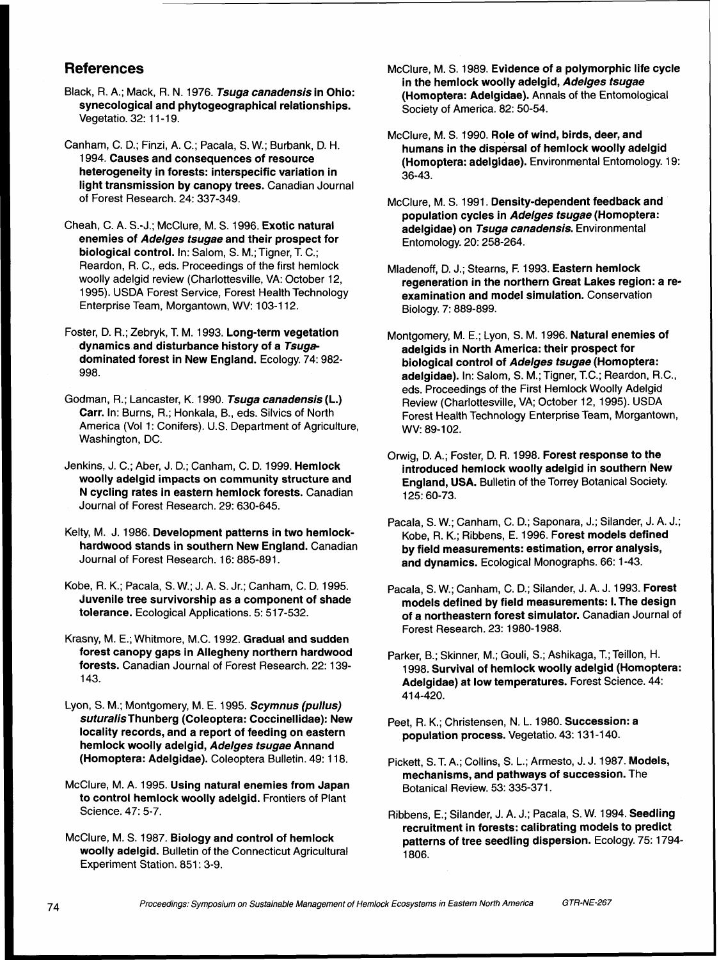## **References**

- Black, R. A.; Mack, R. N. 1976. **Tsuga canadensis** in Ohio: synecological and phytogeographical relationships. Vegetatio. 32: 11-19.
- Canham, C. D.; Finzi, A. C.; Pacala, S. W.; Burbank, D. H. 1994. Causes and consequences of resource heterogeneity in forests: interspecific variation in light transmission by canopy trees. Canadian Journal of Forest Research. 24: 337-349.
- Cheah, C. A. S.-J.; McClure, M. S. 1996. Exotic natural enemies of **Adelges tsugae** and their prospect for biological control. In: Salom, S. M.; Tigner, T. C.; Reardon, R. C., eds. Proceedings of the first hemlock woolly adelgid review (Charlottesville, VA: October 12, 1995). USDA Forest Service, Forest Health Technology Enterprise Team, Morgantown, WV: 103-1 12.
- Foster, D. R.; Zebryk, T. M. 1993. Long-term vegetation dynamics and disturbance history of a **Tsuga**  dominated forest in New England. Ecology. 74: 982- 998.
- Godman, R.; Lancaster, K. 1990. **Tsuga canadensis** (L.) Carr. In: Burns, R.; Honkala, B., eds. Silvics of North America (Vol 1: Conifers). U.S. Department of Agriculture. Washington, DC.
- Jenkins, J. C.; Aber, J. D.; Canham, C. D. 1999. Hemlock woolly adelgid impacts on community structure and N cycling rates in eastern hemlock forests. Canadian Journal of Forest Research. 29: 630-645.
- Kelty, M. J. 1986. Development patterns in two hemlockhardwood stands in southern New England. Canadian Journal of Forest Research. 16: 885-891.
- Kobe, R. K.; Pacala, S. W.; J. A. S. Jr.; Canham, C. D. 1995. Juvenile tree survivorship as a component of shade tolerance. Ecological Applications. 5: 517-532.
- Krasny, M. E.; Whitmore, M.C. 1992. Gradual and sudden forest canopy gaps in Allegheny northern hardwood forests. Canadian Journal of Forest Research. 22: 139- 143.
- Lyon, S. M.; Montgomery, M. E. 1 995. **Scymnus (pullus)**  suturalis Thunberg (Coleoptera: Coccinellidae): New locality records, and a report of feeding on eastern hemlock woolly adelgid, **Adelges tsugae** Annand (Homoptera: Adelgidae). Coleoptera Bulletin. 49: 1 18.
- McClure, M. A. 1995. Using natural enemies from Japan to control hemlock woolly adelgid. Frontiers of Plant Science. 47: 5-7.
- McClure, M. S. 1987. Biology and control of hemlock woolly adelgid. Bulletin of the Connecticut Agricultural Experiment Station. 851: 3-9.
- McClure, M. S. 1989. Evidence of a polymorphic life cycle in the hemlock woolly adelgid, **Adelges tsugae**  (Homoptera: Adelgidae). Annals of the Entomological Society of America. 82: 50-54.
- McClure, M. S. 1990. Role of wind, birds, deer, and humans in the dispersal of hemlock woolly adelgid (Homoptera: adelgidae). Environmental Entomology. 19: 36-43.
- McClure, M. S. 1991. Density-dependent feedback and population cycles in **Adelges tsugae** (Homoptera: adelgidae) on **Tsuga canadensis.** Environmental Entomology. 20: 258-264.
- Mladenoff, D. J.; Stearns, F, 1993. Eastern hemlock regeneration in the northern Great Lakes region: a reexamination and model simulation. Conservation Biology. 7: 889-899.
- Montgomery, M. E.; Lyon, S. M. 1996. Natural enemies of adelgids in North America: their prospect for biological control of **Adelges tsugae** (Homoptera: adelgidae). In: Salom, S. M.; Tigner, T.C.; Reardon, R.C., eds. Proceedings of the First Hemlock Woolly Adelgid Review (Charlottesville, VA; October 12, 1995). USDA Forest Health Technology Enterprise Team, Morgantown, WV: 89-102.
- Orwig, D. A.; Foster, D. R. 1998. Forest response to the introduced hemlock woolly adelgid in southern New England, USA. Bulletin of the Torrey Botanical Society. 125: 60-73.
- Pacala, S. W.; Canham, C. D.; Saponara, J.; Silander, J. A. J.; Kobe, R. K.; Ribbens, E. 1996. Forest models defined by field measurements: estimation, error analysis, and dynamics. Ecological Monographs. 66: 1-43.
- Pacala, S. W.; Canham, C. D.; Silander, J. A. J. 1993. Forest models defined by field measurements: I. The design of a northeastern forest simulator. Canadian Journal of Forest Research. 23: 1980-1 988.
- Parker, B.; Skinner, M.; Gouli, S.; Ashikaga, T.; Teillon, H. 1998. Survival of hemlock woolly adelgid (Homoptera: Adelgidae) at low temperatures. Forest Science. 44: 41 4-420.
- Peet, R. K.; Christensen, N. L. 1980. Succession: a population process. Vegetatio. 43: 131-140.
- Pickett, S. T. A.; Collins, S. L.; Armesto, J. J. 1987. Models, mechanisms, and pathways of succession. The Botanical Review. 53: 335-371 .
- Ribbens, E.; Silander, J. **A.** J.; Pacala, S. W. 1994. Seedling recruitment in forests: calibrating models to predict patterns of tree seedling dispersion. Ecology. 75: 1794- 1806.